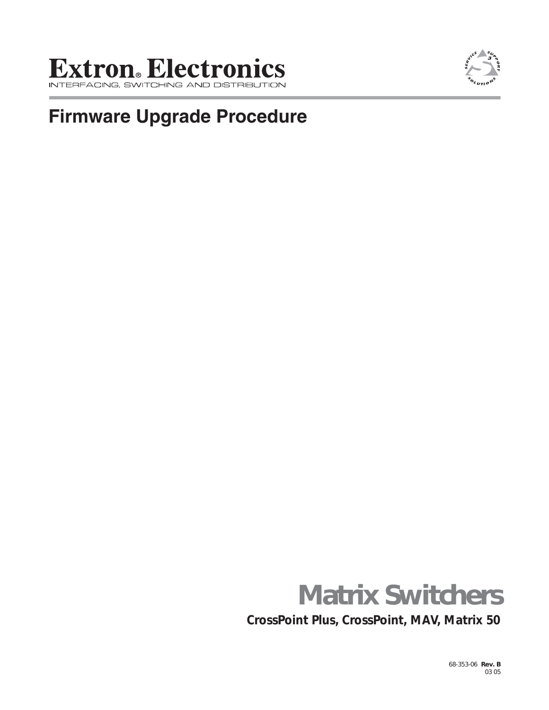## **Extron**. Electronics ACING, SWITCHING ,



# **Firmware Upgrade Procedure**



**CrossPoint Plus, CrossPoint, MAV, Matrix 50**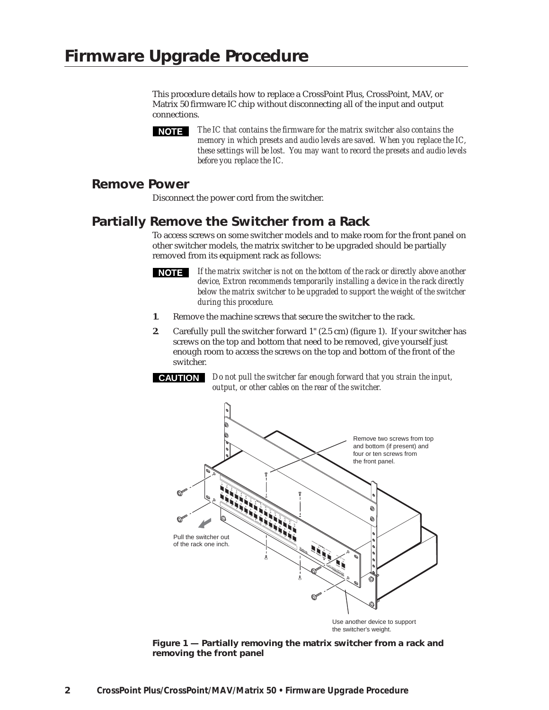This procedure details how to replace a CrossPoint Plus, CrossPoint, MAV, or Matrix 50 firmware IC chip without disconnecting all of the input and output connections.

*The IC that contains the firmware for the matrix switcher also contains the memory in which presets and audio levels are saved. When you replace the IC, these settings will be lost. You may want to record the presets and audio levels before you replace the IC.*

#### **Remove Power**

Disconnect the power cord from the switcher.

### **Partially Remove the Switcher from a Rack**

To access screws on some switcher models and to make room for the front panel on other switcher models, the matrix switcher to be upgraded should be partially removed from its equipment rack as follows:



*If the matrix switcher is not on the bottom of the rack or directly above another device, Extron recommends temporarily installing a device in the rack directly below the matrix switcher to be upgraded to support the weight of the switcher during this procedure.*

- **1**. Remove the machine screws that secure the switcher to the rack.
- **2**. Carefully pull the switcher forward 1" (2.5 cm) (figure 1). If your switcher has screws on the top and bottom that need to be removed, give yourself just enough room to access the screws on the top and bottom of the front of the switcher.



**CAUTION** *Do not pull the switcher far enough forward that you strain the input, output, or other cables on the rear of the switcher.*



*Figure 1 — Partially removing the matrix switcher from a rack and removing the front panel*

**NOTE**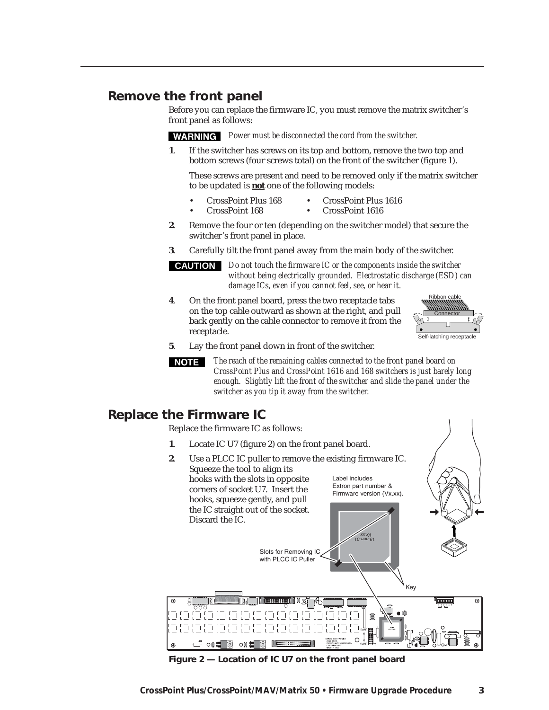#### **Remove the front panel**

Before you can replace the firmware IC, you must remove the matrix switcher's front panel as follows:

*Power must be disconnected the cord from the switcher.*

**1**. If the switcher has screws on its top and bottom, remove the two top and bottom screws (four screws total) on the front of the switcher (figure 1).

These screws are present and need to be removed only if the matrix switcher to be updated is **not** one of the following models:

- CrossPoint Plus 168 CrossPoint Plus 1616
- CrossPoint 168 CrossPoint 1616
- **2**. Remove the four or ten (depending on the switcher model) that secure the switcher's front panel in place.
- **3**. Carefully tilt the front panel away from the main body of the switcher.

**CAUTION** *Do not touch the firmware IC or the components inside the switcher without being electrically grounded. Electrostatic discharge (ESD) can damage ICs, even if you cannot feel, see, or hear it.*

**4**. On the front panel board, press the two receptacle tabs on the top cable outward as shown at the right, and pull back gently on the cable connector to remove it from the receptacle.



**5**. Lay the front panel down in front of the switcher.

*The reach of the remaining cables connected to the front panel board on* I NOTE I *CrossPoint Plus and CrossPoint 1616 and 168 switchers is just barely long enough. Slightly lift the front of the switcher and slide the panel under the switcher as you tip it away from the switcher.*

#### **Replace the Firmware IC**

 $\bigoplus$ 

⊡-ි ow

 $\bigcap$ 

Replace the firmware IC as follows:

- **1**. Locate IC U7 (figure 2) on the front panel board.
- **2**. Use a PLCC IC puller to remove the existing firmware IC. Squeeze the tool to align its hooks with the slots in opposite Label includes Extron part number & corners of socket U7. Insert the Firmware version (Vx.xx). hooks, squeeze gently, and pull the IC straight out of the socket. Discard the IC.  *19-nnn-01 Vx.xx* Slots for Removing IC with PLCC IC Puller Key 800000 ŒΕ

*Figure 2 — Location of IC U7 on the front panel board*